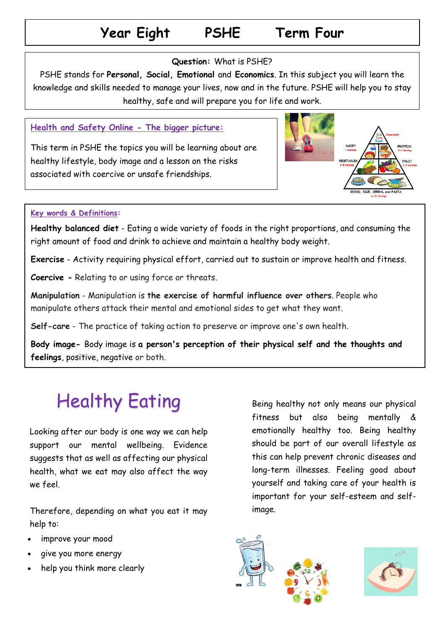## **Year Eight PSHE Term Four**

### **Question:** What is PSHE?

PSHE stands for **Personal, Social, Emotional** and **Economics**. In this subject you will learn the knowledge and skills needed to manage your lives, now and in the future. PSHE will help you to stay healthy, safe and will prepare you for life and work.

### **Health and Safety Online - The bigger picture:**

This term in PSHE the topics you will be learning about are healthy lifestyle, body image and a lesson on the risks associated with coercive or unsafe friendships.



### healthy sleeping habits, growing and changing and dental **Key words & Definitions:**

Healthy balanced diet - Eating a wide variety of foods in the right proportions, and consuming the right amount of food and drink to achieve and maintain a healthy body weight.

**Exercise** - Activity requiring physical effort, carried out to sustain or improve health and fitness.

**Coercive -** Relating to or using force or threats.

**Manipulation** - Manipulation is **the exercise of harmful influence over others**. People who manipulate others attack their mental and emotional sides to get what they want.

**Self-care** - The practice of taking action to preserve or improve one's own health.

**Body image-** Body image is **a person's perception of their physical self and the thoughts and feelings**, positive, negative or both.

# Healthy Eating

Looking after our body is one way we can help support our mental wellbeing. Evidence suggests that as well as affecting our physical health, what we eat may also affect the way we feel.

Therefore, depending on what you eat it may help to:

- improve your mood
- give you more energy
- help you think more clearly

Being healthy not only means our physical fitness but also being mentally & emotionally healthy too. Being healthy should be part of our overall lifestyle as this can help prevent chronic diseases and long-term illnesses. Feeling good about yourself and taking care of your health is important for your self-esteem and selfimage.